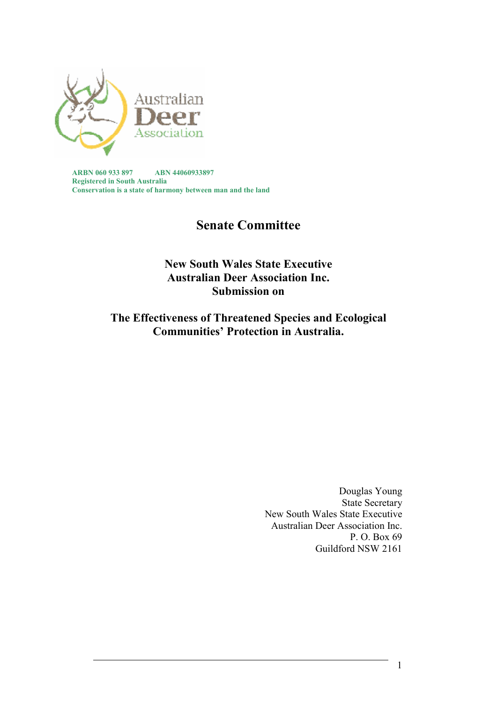

**ARBN 060 933 897 ABN 44060933897 Registered in South Australia Conservation is a state of harmony between man and the land** 

# **Senate Committee**

**New South Wales State Executive Australian Deer Association Inc. Submission on** 

**The Effectiveness of Threatened Species and Ecological Communities' Protection in Australia.** 

> Douglas Young State Secretary New South Wales State Executive Australian Deer Association Inc. P. O. Box 69 Guildford NSW 2161

> > 1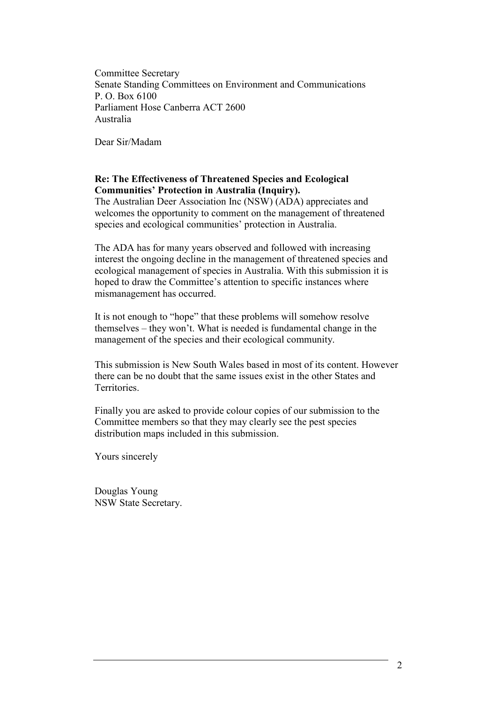Committee Secretary Senate Standing Committees on Environment and Communications P. O. Box 6100 Parliament Hose Canberra ACT 2600 Australia

Dear Sir/Madam

### **Re: The Effectiveness of Threatened Species and Ecological Communities' Protection in Australia (Inquiry).**

The Australian Deer Association Inc (NSW) (ADA) appreciates and welcomes the opportunity to comment on the management of threatened species and ecological communities' protection in Australia.

The ADA has for many years observed and followed with increasing interest the ongoing decline in the management of threatened species and ecological management of species in Australia. With this submission it is hoped to draw the Committee's attention to specific instances where mismanagement has occurred.

It is not enough to "hope" that these problems will somehow resolve themselves – they won't. What is needed is fundamental change in the management of the species and their ecological community.

This submission is New South Wales based in most of its content. However there can be no doubt that the same issues exist in the other States and **Territories** 

Finally you are asked to provide colour copies of our submission to the Committee members so that they may clearly see the pest species distribution maps included in this submission.

Yours sincerely

Douglas Young NSW State Secretary.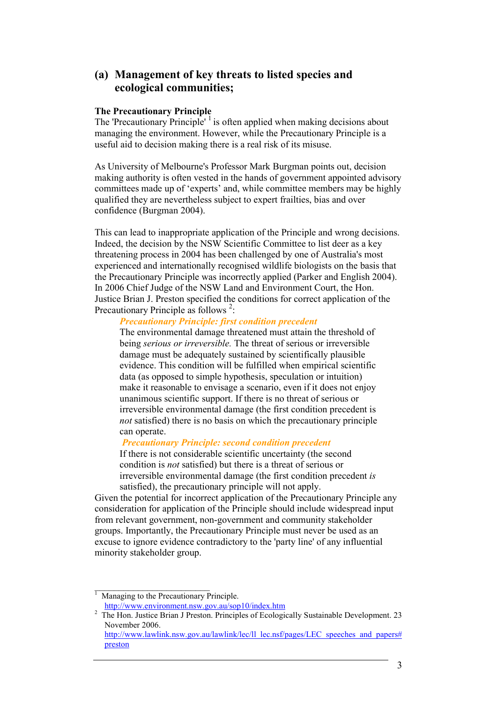# **(a) Management of key threats to listed species and ecological communities;**

#### **The Precautionary Principle**

The 'Precautionary Principle'<sup>1</sup> is often applied when making decisions about managing the environment. However, while the Precautionary Principle is a useful aid to decision making there is a real risk of its misuse.

As University of Melbourne's Professor Mark Burgman points out, decision making authority is often vested in the hands of government appointed advisory committees made up of 'experts' and, while committee members may be highly qualified they are nevertheless subject to expert frailties, bias and over confidence (Burgman 2004).

This can lead to inappropriate application of the Principle and wrong decisions. Indeed, the decision by the NSW Scientific Committee to list deer as a key threatening process in 2004 has been challenged by one of Australia's most experienced and internationally recognised wildlife biologists on the basis that the Precautionary Principle was incorrectly applied (Parker and English 2004). In 2006 Chief Judge of the NSW Land and Environment Court, the Hon. Justice Brian J. Preston specified the conditions for correct application of the Precautionary Principle as follows  $2$ :

### *Precautionary Principle: first condition precedent*

The environmental damage threatened must attain the threshold of being *serious or irreversible.* The threat of serious or irreversible damage must be adequately sustained by scientifically plausible evidence. This condition will be fulfilled when empirical scientific data (as opposed to simple hypothesis, speculation or intuition) make it reasonable to envisage a scenario, even if it does not enjoy unanimous scientific support. If there is no threat of serious or irreversible environmental damage (the first condition precedent is *not* satisfied) there is no basis on which the precautionary principle can operate.

#### *Precautionary Principle: second condition precedent*

If there is not considerable scientific uncertainty (the second condition is *not* satisfied) but there is a threat of serious or irreversible environmental damage (the first condition precedent *is*  satisfied), the precautionary principle will not apply.

Given the potential for incorrect application of the Precautionary Principle any consideration for application of the Principle should include widespread input from relevant government, non-government and community stakeholder groups. Importantly, the Precautionary Principle must never be used as an excuse to ignore evidence contradictory to the 'party line' of any influential minority stakeholder group.

 $\overline{\phantom{a}}$  , where  $\overline{\phantom{a}}$  , where  $\overline{\phantom{a}}$ 1 Managing to the Precautionary Principle.

http://www.environment.nsw.gov.au/sop10/index.htm

<sup>2</sup> The Hon. Justice Brian J Preston. Principles of Ecologically Sustainable Development. 23 November 2006. http://www.lawlink.nsw.gov.au/lawlink/lec/ll\_lec.nsf/pages/LEC\_speeches\_and\_papers#

preston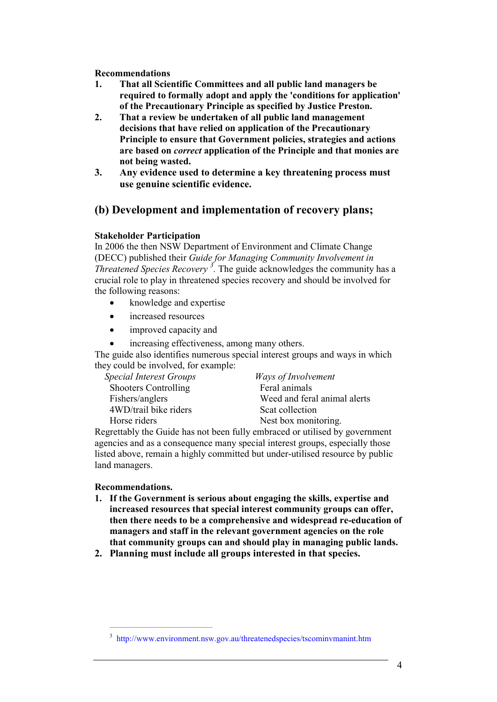- **1. That all Scientific Committees and all public land managers be required to formally adopt and apply the 'conditions for application' of the Precautionary Principle as specified by Justice Preston.**
- **2. That a review be undertaken of all public land management decisions that have relied on application of the Precautionary Principle to ensure that Government policies, strategies and actions are based on** *correct* **application of the Principle and that monies are not being wasted.**
- **3. Any evidence used to determine a key threatening process must use genuine scientific evidence.**

# **(b) Development and implementation of recovery plans;**

### **Stakeholder Participation**

In 2006 the then NSW Department of Environment and Climate Change (DECC) published their *Guide for Managing Community Involvement in Threatened Species Recovery <sup>3</sup> .* The guide acknowledges the community has a crucial role to play in threatened species recovery and should be involved for the following reasons:

- knowledge and expertise
- increased resources
- improved capacity and
- increasing effectiveness, among many others.

The guide also identifies numerous special interest groups and ways in which they could be involved, for example:

*Special Interest Groups Ways of Involvement*  Shooters Controlling 4WD/trail bike riders Scat collection

Fishers/anglers Weed and feral animal alerts Horse riders Nest box monitoring.

Regrettably the Guide has not been fully embraced or utilised by government agencies and as a consequence many special interest groups, especially those listed above, remain a highly committed but under-utilised resource by public land managers.

### **Recommendations.**

 $\mathcal{L}_\text{max}$  and the set of the set of the set of the set of the set of the set of the set of the set of the set of the set of the set of the set of the set of the set of the set of the set of the set of the set of the s

- **1. If the Government is serious about engaging the skills, expertise and increased resources that special interest community groups can offer, then there needs to be a comprehensive and widespread re-education of managers and staff in the relevant government agencies on the role that community groups can and should play in managing public lands.**
- **2. Planning must include all groups interested in that species.**

<sup>&</sup>lt;sup>3</sup> http://www.environment.nsw.gov.au/threatenedspecies/tscominvmanint.htm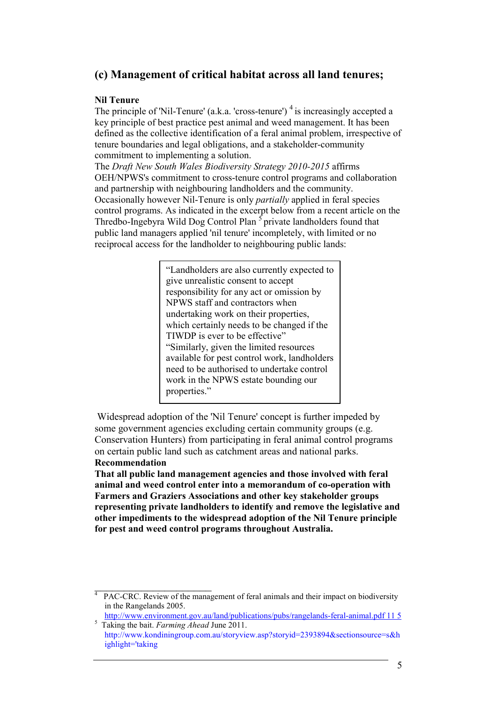# **(c) Management of critical habitat across all land tenures;**

### **Nil Tenure**

The principle of 'Nil-Tenure' (a.k.a. 'cross-tenure')<sup>4</sup> is increasingly accepted a key principle of best practice pest animal and weed management. It has been defined as the collective identification of a feral animal problem, irrespective of tenure boundaries and legal obligations, and a stakeholder-community commitment to implementing a solution.

The *Draft New South Wales Biodiversity Strategy 2010-2015* affirms OEH/NPWS's commitment to cross-tenure control programs and collaboration and partnership with neighbouring landholders and the community. Occasionally however Nil-Tenure is only *partially* applied in feral species control programs. As indicated in the excerpt below from a recent article on the Thredbo-Ingebyra Wild Dog Control Plan <sup>5</sup> private landholders found that public land managers applied 'nil tenure' incompletely, with limited or no reciprocal access for the landholder to neighbouring public lands:

> "Landholders are also currently expected to give unrealistic consent to accept responsibility for any act or omission by NPWS staff and contractors when undertaking work on their properties, which certainly needs to be changed if the TIWDP is ever to be effective" "Similarly, given the limited resources available for pest control work, landholders need to be authorised to undertake control work in the NPWS estate bounding our properties."

 Widespread adoption of the 'Nil Tenure' concept is further impeded by some government agencies excluding certain community groups (e.g. Conservation Hunters) from participating in feral animal control programs on certain public land such as catchment areas and national parks. **Recommendation** 

**That all public land management agencies and those involved with feral animal and weed control enter into a memorandum of co-operation with Farmers and Graziers Associations and other key stakeholder groups representing private landholders to identify and remove the legislative and other impediments to the widespread adoption of the Nil Tenure principle for pest and weed control programs throughout Australia.** 

\_\_\_\_\_\_\_\_\_\_\_\_\_\_\_\_\_\_\_\_

<sup>4</sup> PAC-CRC. Review of the management of feral animals and their impact on biodiversity in the Rangelands 2005.

http://www.environment.gov.au/land/publications/pubs/rangelands-feral-animal.pdf 11 5 5 Taking the bait. *Farming Ahead* June 2011.

http://www.kondiningroup.com.au/storyview.asp?storyid=2393894&sectionsource=s&h ighlight='taking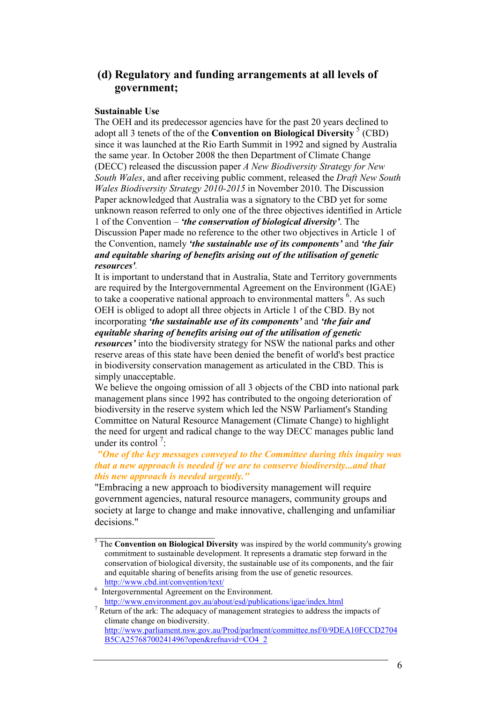# **(d) Regulatory and funding arrangements at all levels of government;**

### **Sustainable Use**

The OEH and its predecessor agencies have for the past 20 years declined to adopt all 3 tenets of the of the **Convention on Biological Diversity** <sup>5</sup> (CBD) since it was launched at the Rio Earth Summit in 1992 and signed by Australia the same year. In October 2008 the then Department of Climate Change (DECC) released the discussion paper *A New Biodiversity Strategy for New South Wales*, and after receiving public comment, released the *Draft New South Wales Biodiversity Strategy 2010-2015* in November 2010. The Discussion Paper acknowledged that Australia was a signatory to the CBD yet for some unknown reason referred to only one of the three objectives identified in Article 1 of the Convention – *'the conservation of biological diversity'*. The Discussion Paper made no reference to the other two objectives in Article 1 of the Convention, namely *'the sustainable use of its components'* and *'the fair and equitable sharing of benefits arising out of the utilisation of genetic resources'.* 

It is important to understand that in Australia, State and Territory governments are required by the Intergovernmental Agreement on the Environment (IGAE) to take a cooperative national approach to environmental matters  $6$ . As such OEH is obliged to adopt all three objects in Article 1 of the CBD. By not incorporating *'the sustainable use of its components'* and *'the fair and equitable sharing of benefits arising out of the utilisation of genetic resources'* into the biodiversity strategy for NSW the national parks and other reserve areas of this state have been denied the benefit of world's best practice in biodiversity conservation management as articulated in the CBD. This is simply unacceptable.

We believe the ongoing omission of all 3 objects of the CBD into national park management plans since 1992 has contributed to the ongoing deterioration of biodiversity in the reserve system which led the NSW Parliament's Standing Committee on Natural Resource Management (Climate Change) to highlight the need for urgent and radical change to the way DECC manages public land under its control<sup>7</sup>:

#### *"One of the key messages conveyed to the Committee during this inquiry was that a new approach is needed if we are to conserve biodiversity...and that this new approach is needed urgently."*

"Embracing a new approach to biodiversity management will require government agencies, natural resource managers, community groups and society at large to change and make innovative, challenging and unfamiliar decisions."

 $\overline{\phantom{a}}$  , which is a set of the set of the set of the set of the set of the set of the set of the set of the set of the set of the set of the set of the set of the set of the set of the set of the set of the set of th

<sup>&</sup>lt;sup>5</sup> The **Convention on Biological Diversity** was inspired by the world community's growing commitment to sustainable development. It represents a dramatic step forward in the conservation of biological diversity, the sustainable use of its components, and the fair and equitable sharing of benefits arising from the use of genetic resources. http://www.cbd.int/convention/text/

<sup>6</sup> Intergovernmental Agreement on the Environment. http://www.environment.gov.au/about/esd/publications/igae/index.html

 $7$  Return of the ark: The adequacy of management strategies to address the impacts of climate change on biodiversity. http://www.parliament.nsw.gov.au/Prod/parlment/committee.nsf/0/9DEA10FCCD2704 B5CA25768700241496?open&refnavid=CO4\_2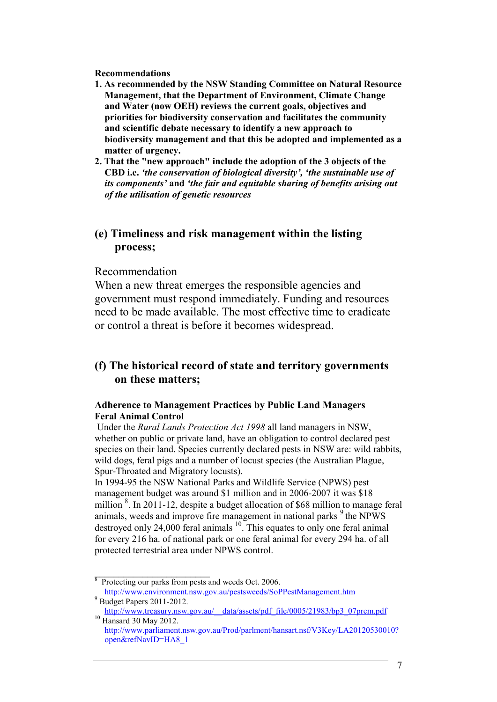- **1. As recommended by the NSW Standing Committee on Natural Resource Management, that the Department of Environment, Climate Change and Water (now OEH) reviews the current goals, objectives and priorities for biodiversity conservation and facilitates the community and scientific debate necessary to identify a new approach to biodiversity management and that this be adopted and implemented as a matter of urgency.**
- **2. That the "new approach" include the adoption of the 3 objects of the CBD i.e.** *'the conservation of biological diversity', 'the sustainable use of its components'* **and** *'the fair and equitable sharing of benefits arising out of the utilisation of genetic resources*

### **(e) Timeliness and risk management within the listing process;**

### Recommendation

When a new threat emerges the responsible agencies and government must respond immediately. Funding and resources need to be made available. The most effective time to eradicate or control a threat is before it becomes widespread.

# **(f) The historical record of state and territory governments on these matters;**

### **Adherence to Management Practices by Public Land Managers Feral Animal Control**

Under the *Rural Lands Protection Act 1998* all land managers in NSW, whether on public or private land, have an obligation to control declared pest species on their land. Species currently declared pests in NSW are: wild rabbits, wild dogs, feral pigs and a number of locust species (the Australian Plague, Spur-Throated and Migratory locusts).

In 1994-95 the NSW National Parks and Wildlife Service (NPWS) pest management budget was around \$1 million and in 2006-2007 it was \$18 million  $\frac{8}{3}$ . In 2011-12, despite a budget allocation of \$68 million to manage feral animals, weeds and improve fire management in national parks  $9$  the NPWS destroyed only  $24,000$  feral animals  $^{10}$ . This equates to only one feral animal for every 216 ha. of national park or one feral animal for every 294 ha. of all protected terrestrial area under NPWS control.

<sup>&</sup>lt;sup>8</sup> Protecting our parks from pests and weeds Oct. 2006. http://www.environment.nsw.gov.au/pestsweeds/SoPPestManagement.htm

<sup>9</sup> Budget Papers 2011-2012. http://www.treasury.nsw.gov.au/\_\_data/assets/pdf\_file/0005/21983/bp3\_07prem.pdf

<sup>&</sup>lt;sup>10</sup> Hansard 30 May 2012. http://www.parliament.nsw.gov.au/Prod/parlment/hansart.nsf/V3Key/LA20120530010? open&refNavID=HA8\_1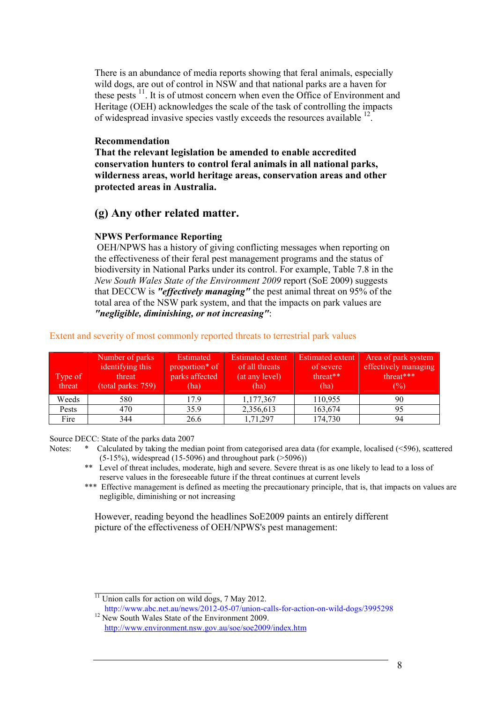There is an abundance of media reports showing that feral animals, especially wild dogs, are out of control in NSW and that national parks are a haven for these pests  $\frac{11}{1}$ . It is of utmost concern when even the Office of Environment and Heritage (OEH) acknowledges the scale of the task of controlling the impacts of widespread invasive species vastly exceeds the resources available <sup>12</sup>.

#### **Recommendation**

**That the relevant legislation be amended to enable accredited conservation hunters to control feral animals in all national parks, wilderness areas, world heritage areas, conservation areas and other protected areas in Australia.** 

### **(g) Any other related matter.**

### **NPWS Performance Reporting**

OEH/NPWS has a history of giving conflicting messages when reporting on the effectiveness of their feral pest management programs and the status of biodiversity in National Parks under its control. For example, Table 7.8 in the *New South Wales State of the Environment 2009* report (SoE 2009) suggests that DECCW is *"effectively managing"* the pest animal threat on 95% of the total area of the NSW park system, and that the impacts on park values are *"negligible, diminishing, or not increasing"*:

| Type of<br>threat | Number of parks<br>identifying this<br>threat<br>(total parks: 759) | Estimated<br>proportion <sup>*</sup> of<br>parks affected<br>(ha) | <b>Estimated extent</b><br>of all threats<br>(at any level)<br>(ha) | <b>Estimated extent</b><br>of severe<br>threat**<br>(ha) | Area of park system<br>effectively managing<br>threat***<br>(%) |
|-------------------|---------------------------------------------------------------------|-------------------------------------------------------------------|---------------------------------------------------------------------|----------------------------------------------------------|-----------------------------------------------------------------|
| Weeds             | 580                                                                 | 17.9                                                              | 1,177,367                                                           | 110,955                                                  | 90                                                              |
| Pests             | 470                                                                 | 35.9                                                              | 2,356,613                                                           | 163,674                                                  | 95                                                              |
| Fire              | 344                                                                 | 26.6                                                              | 1,71,297                                                            | 174,730                                                  | 94                                                              |

Extent and severity of most commonly reported threats to terrestrial park values

Source DECC: State of the parks data 2007

- Notes: \* Calculated by taking the median point from categorised area data (for example, localised (<596), scattered  $(5-15%)$ , widespread  $(15-5096)$  and throughout park (>5096))
	- \*\* Level of threat includes, moderate, high and severe. Severe threat is as one likely to lead to a loss of reserve values in the foreseeable future if the threat continues at current levels
	- \*\*\* Effective management is defined as meeting the precautionary principle, that is, that impacts on values are negligible, diminishing or not increasing

However, reading beyond the headlines SoE2009 paints an entirely different picture of the effectiveness of OEH/NPWS's pest management:

\_\_\_\_\_\_\_\_\_\_\_\_\_\_\_\_\_\_\_\_  $11$  Union calls for action on wild dogs, 7 May 2012.

http://www.abc.net.au/news/2012-05-07/union-calls-for-action-on-wild-dogs/3995298 <sup>12</sup> New South Wales State of the Environment 2009.

http://www.environment.nsw.gov.au/soe/soe2009/index.htm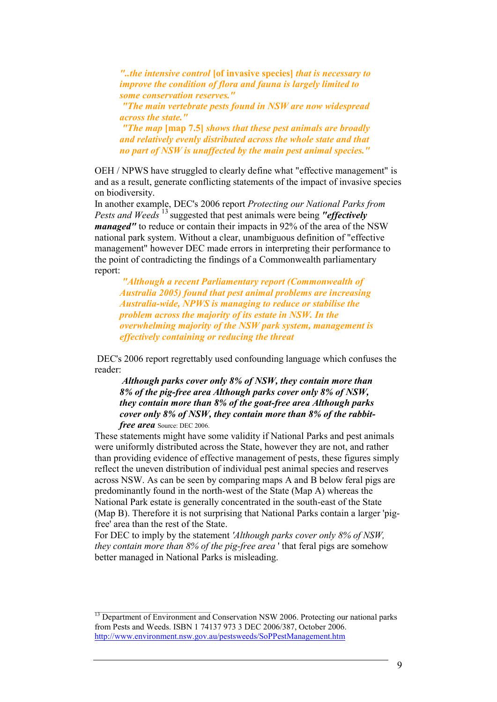*"..the intensive control* **[of invasive species]** *that is necessary to improve the condition of flora and fauna is largely limited to some conservation reserves."* 

 *"The main vertebrate pests found in NSW are now widespread across the state."* 

 *"The map* **[map 7.5]** *shows that these pest animals are broadly and relatively evenly distributed across the whole state and that no part of NSW is unaffected by the main pest animal species."* 

OEH / NPWS have struggled to clearly define what "effective management" is and as a result, generate conflicting statements of the impact of invasive species on biodiversity.

In another example, DEC's 2006 report *Protecting our National Parks from Pests and Weeds* <sup>13</sup> suggested that pest animals were being *"effectively managed*" to reduce or contain their impacts in 92% of the area of the NSW national park system. Without a clear, unambiguous definition of "effective management" however DEC made errors in interpreting their performance to the point of contradicting the findings of a Commonwealth parliamentary report:

*"Although a recent Parliamentary report (Commonwealth of Australia 2005) found that pest animal problems are increasing Australia-wide, NPWS is managing to reduce or stabilise the problem across the majority of its estate in NSW. In the overwhelming majority of the NSW park system, management is effectively containing or reducing the threat* 

DEC's 2006 report regrettably used confounding language which confuses the reader:

*Although parks cover only 8% of NSW, they contain more than 8% of the pig-free area Although parks cover only 8% of NSW, they contain more than 8% of the goat-free area Although parks cover only 8% of NSW, they contain more than 8% of the rabbitfree area* Source: DEC 2006.

These statements might have some validity if National Parks and pest animals were uniformly distributed across the State, however they are not, and rather than providing evidence of effective management of pests, these figures simply reflect the uneven distribution of individual pest animal species and reserves across NSW. As can be seen by comparing maps A and B below feral pigs are predominantly found in the north-west of the State (Map A) whereas the National Park estate is generally concentrated in the south-east of the State (Map B). Therefore it is not surprising that National Parks contain a larger 'pigfree' area than the rest of the State.

For DEC to imply by the statement *'Although parks cover only 8% of NSW, they contain more than 8% of the pig-free area* ' that feral pigs are somehow better managed in National Parks is misleading.

<sup>&</sup>lt;sup>13</sup> Department of Environment and Conservation NSW 2006. Protecting our national parks from Pests and Weeds. ISBN 1 74137 973 3 DEC 2006/387, October 2006. http://www.environment.nsw.gov.au/pestsweeds/SoPPestManagement.htm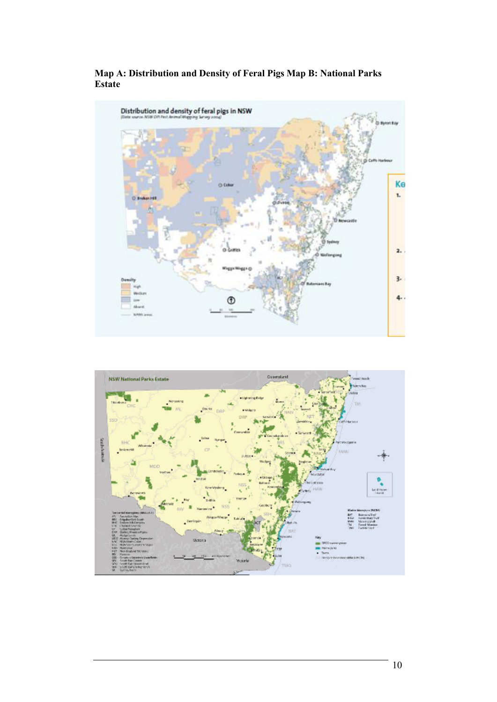

**Map A: Distribution and Density of Feral Pigs Map B: National Parks Estate** 

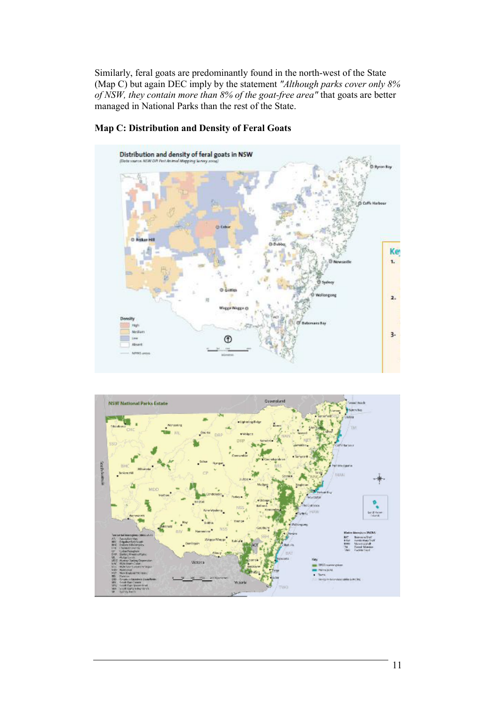Similarly, feral goats are predominantly found in the north-west of the State (Map C) but again DEC imply by the statement *"Although parks cover only 8% of NSW, they contain more than 8% of the goat-free area"* that goats are better managed in National Parks than the rest of the State.



### **Map C: Distribution and Density of Feral Goats**

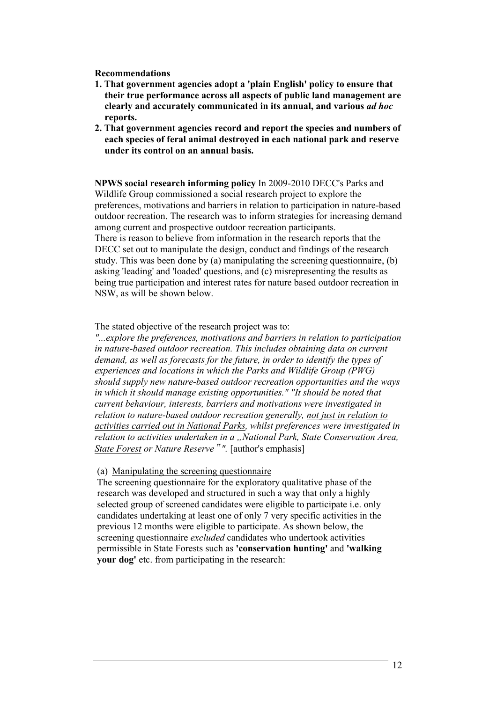- **1. That government agencies adopt a 'plain English' policy to ensure that their true performance across all aspects of public land management are clearly and accurately communicated in its annual, and various** *ad hoc*  **reports.**
- **2. That government agencies record and report the species and numbers of each species of feral animal destroyed in each national park and reserve under its control on an annual basis.**

**NPWS social research informing policy** In 2009-2010 DECC's Parks and Wildlife Group commissioned a social research project to explore the preferences, motivations and barriers in relation to participation in nature-based outdoor recreation. The research was to inform strategies for increasing demand among current and prospective outdoor recreation participants. There is reason to believe from information in the research reports that the DECC set out to manipulate the design, conduct and findings of the research study. This was been done by (a) manipulating the screening questionnaire, (b) asking 'leading' and 'loaded' questions, and (c) misrepresenting the results as being true participation and interest rates for nature based outdoor recreation in NSW, as will be shown below.

The stated objective of the research project was to:

*"...explore the preferences, motivations and barriers in relation to participation in nature-based outdoor recreation. This includes obtaining data on current demand, as well as forecasts for the future, in order to identify the types of experiences and locations in which the Parks and Wildlife Group (PWG) should supply new nature-based outdoor recreation opportunities and the ways in which it should manage existing opportunities." "It should be noted that current behaviour, interests, barriers and motivations were investigated in relation to nature-based outdoor recreation generally, not just in relation to activities carried out in National Parks, whilst preferences were investigated in relation to activities undertaken in a "National Park, State Conservation Area, State Forest or Nature Reserve*" *".* [author's emphasis]

(a) Manipulating the screening questionnaire

The screening questionnaire for the exploratory qualitative phase of the research was developed and structured in such a way that only a highly selected group of screened candidates were eligible to participate i.e. only candidates undertaking at least one of only 7 very specific activities in the previous 12 months were eligible to participate. As shown below, the screening questionnaire *excluded* candidates who undertook activities permissible in State Forests such as **'conservation hunting'** and **'walking your dog'** etc. from participating in the research: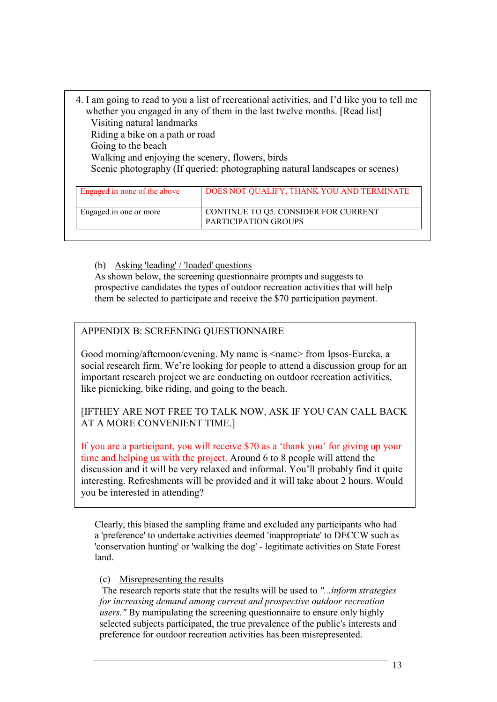| 4. I am going to read to you a list of recreational activities, and I'd like you to tell me |                                           |  |  |  |  |
|---------------------------------------------------------------------------------------------|-------------------------------------------|--|--|--|--|
| whether you engaged in any of them in the last twelve months. [Read list]                   |                                           |  |  |  |  |
| Visiting natural landmarks                                                                  |                                           |  |  |  |  |
| Riding a bike on a path or road                                                             |                                           |  |  |  |  |
| Going to the beach                                                                          |                                           |  |  |  |  |
| Walking and enjoying the scenery, flowers, birds                                            |                                           |  |  |  |  |
| Scenic photography (If queried: photographing natural landscapes or scenes)                 |                                           |  |  |  |  |
|                                                                                             |                                           |  |  |  |  |
| Engaged in none of the above                                                                | DOES NOT QUALIFY, THANK YOU AND TERMINATE |  |  |  |  |
|                                                                                             |                                           |  |  |  |  |

| Engaged in none of the above | DOES NOT QUALIFY, THANK YOU AND TERMINATE                    |
|------------------------------|--------------------------------------------------------------|
| Engaged in one or more       | CONTINUE TO Q5. CONSIDER FOR CURRENT<br>PARTICIPATION GROUPS |

(b) Asking 'leading' / 'loaded' questions

As shown below, the screening questionnaire prompts and suggests to prospective candidates the types of outdoor recreation activities that will help them be selected to participate and receive the \$70 participation payment.

### APPENDIX B: SCREENING QUESTIONNAIRE

Good morning/afternoon/evening. My name is <name> from Ipsos-Eureka, a social research firm. We're looking for people to attend a discussion group for an important research project we are conducting on outdoor recreation activities, like picnicking, bike riding, and going to the beach.

[IFTHEY ARE NOT FREE TO TALK NOW, ASK IF YOU CAN CALL BACK AT A MORE CONVENIENT TIME.]

If you are a participant, you will receive \$70 as a 'thank you' for giving up your time and helping us with the project. Around 6 to 8 people will attend the discussion and it will be very relaxed and informal. You'll probably find it quite interesting. Refreshments will be provided and it will take about 2 hours. Would you be interested in attending?

Clearly, this biased the sampling frame and excluded any participants who had a 'preference' to undertake activities deemed 'inappropriate' to DECCW such as 'conservation hunting' or 'walking the dog' - legitimate activities on State Forest land.

### (c) Misrepresenting the results

 The research reports state that the results will be used to *"...inform strategies for increasing demand among current and prospective outdoor recreation users."* By manipulating the screening questionnaire to ensure only highly selected subjects participated, the true prevalence of the public's interests and preference for outdoor recreation activities has been misrepresented.